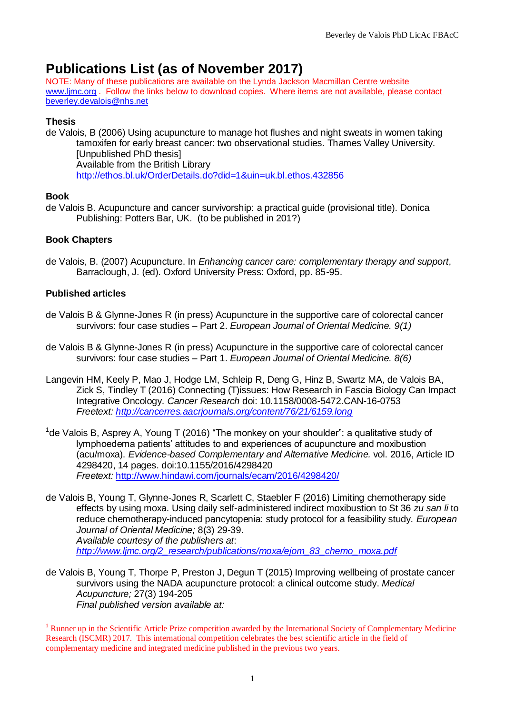# **Publications List (as of November 2017)**

NOTE: Many of these publications are available on the Lynda Jackson Macmillan Centre website [www.ljmc.org](http://www.ljmc.org/) . Follow the links below to download copies. Where items are not available, please contact [beverley.devalois@nhs.net](mailto:beverley.devalois@nhs.net)

# **Thesis**

de Valois, B (2006) Using acupuncture to manage hot flushes and night sweats in women taking tamoxifen for early breast cancer: two observational studies. Thames Valley University. [Unpublished PhD thesis] Available from the British Library http://ethos.bl.uk/OrderDetails.do?did=1&uin=uk.bl.ethos.432856

# **Book**

 $\overline{a}$ 

de Valois B. Acupuncture and cancer survivorship: a practical guide (provisional title). Donica Publishing: Potters Bar, UK. (to be published in 201?)

# **Book Chapters**

de Valois, B. (2007) Acupuncture. In *Enhancing cancer care: complementary therapy and support*, Barraclough, J. (ed). Oxford University Press: Oxford, pp. 85-95.

# **Published articles**

- de Valois B & Glynne-Jones R (in press) Acupuncture in the supportive care of colorectal cancer survivors: four case studies – Part 2. *European Journal of Oriental Medicine. 9(1)*
- de Valois B & Glynne-Jones R (in press) Acupuncture in the supportive care of colorectal cancer survivors: four case studies – Part 1. *European Journal of Oriental Medicine. 8(6)*
- Langevin HM, Keely P, Mao J, Hodge LM, Schleip R, Deng G, Hinz B, Swartz MA, de Valois BA, Zick S, Tindley T (2016) Connecting (T)issues: How Research in Fascia Biology Can Impact Integrative Oncology. *Cancer Research* doi: 10.1158/0008-5472.CAN-16-0753 *Freetext:<http://cancerres.aacrjournals.org/content/76/21/6159.long>*
- <sup>1</sup>de Valois B, Asprey A, Young T (2016) "The monkey on your shoulder": a qualitative study of lymphoedema patients' attitudes to and experiences of acupuncture and moxibustion (acu/moxa). *Evidence-based Complementary and Alternative Medicine.* vol. 2016, Article ID 4298420, 14 pages. doi:10.1155/2016/4298420 *Freetext:* <http://www.hindawi.com/journals/ecam/2016/4298420/>
- de Valois B, Young T, Glynne-Jones R, Scarlett C, Staebler F (2016) Limiting chemotherapy side effects by using moxa. Using daily self-administered indirect moxibustion to St 36 *zu san li* to reduce chemotherapy-induced pancytopenia: study protocol for a feasibility study. *European Journal of Oriental Medicine;* 8(3) 29-39. *Available courtesy of the publishers at*: *[http://www.ljmc.org/2\\_research/publications/moxa/ejom\\_83\\_chemo\\_moxa.pdf](http://www.ljmc.org/2_research/publications/moxa/ejom_83_chemo_moxa.pdf)*
- de Valois B, Young T, Thorpe P, Preston J, Degun T (2015) Improving wellbeing of prostate cancer survivors using the NADA acupuncture protocol: a clinical outcome study. *Medical Acupuncture;* 27(3) 194-205 *Final published version available at:*

 $<sup>1</sup>$  Runner up in the Scientific Article Prize competition awarded by the International Society of Complementary Medicine</sup> Research (ISCMR) 2017. This international competition celebrates the best scientific article in the field of complementary medicine and integrated medicine published in the previous two years.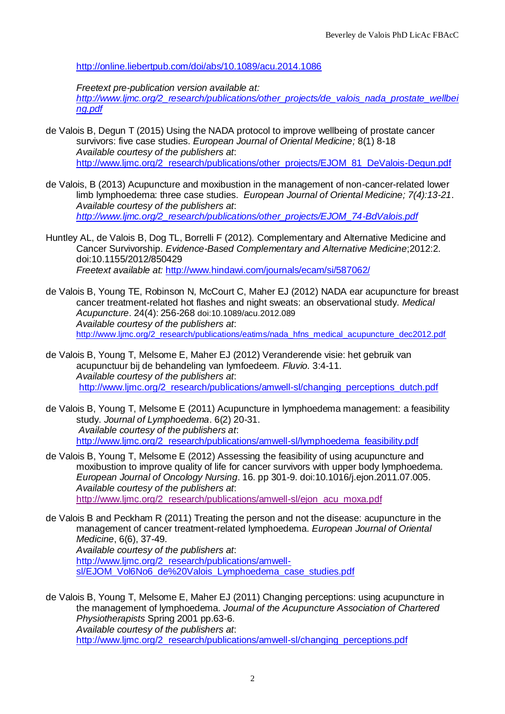<http://online.liebertpub.com/doi/abs/10.1089/acu.2014.1086>

*Freetext pre-publication version available at:* 

*[http://www.ljmc.org/2\\_research/publications/other\\_projects/de\\_valois\\_nada\\_prostate\\_wellbei](http://www.ljmc.org/2_research/publications/other_projects/de_valois_nada_prostate_wellbeing.pdf) [ng.pdf](http://www.ljmc.org/2_research/publications/other_projects/de_valois_nada_prostate_wellbeing.pdf)*

de Valois B, Degun T (2015) Using the NADA protocol to improve wellbeing of prostate cancer survivors: five case studies. *European Journal of Oriental Medicine;* 8(1) 8-18 *Available courtesy of the publishers at*: [http://www.ljmc.org/2\\_research/publications/other\\_projects/EJOM\\_81\\_DeValois-Degun.pdf](http://www.ljmc.org/2_research/publications/other_projects/EJOM_81_DeValois-Degun.pdf)

de Valois, B (2013) Acupuncture and moxibustion in the management of non-cancer-related lower limb lymphoedema: three case studies. *European Journal of Oriental Medicine; 7(4):13-21*. *Available courtesy of the publishers at*: *[http://www.ljmc.org/2\\_research/publications/other\\_projects/EJOM\\_74-BdValois.pdf](http://www.ljmc.org/2_research/publications/other_projects/EJOM_74-BdValois.pdf)*

Huntley AL, de Valois B, Dog TL, Borrelli F (2012). Complementary and Alternative Medicine and Cancer Survivorship. *Evidence-Based Complementary and Alternative Medicine*;2012:2. doi:10.1155/2012/850429 *Freetext available at:* <http://www.hindawi.com/journals/ecam/si/587062/>

- de Valois B, Young TE, Robinson N, McCourt C, Maher EJ (2012) NADA ear acupuncture for breast cancer treatment-related hot flashes and night sweats: an observational study*. Medical Acupuncture*. 24(4): 256-268 doi:10.1089/acu.2012.089 *Available courtesy of the publishers at*: [http://www.ljmc.org/2\\_research/publications/eatims/nada\\_hfns\\_medical\\_acupuncture\\_dec2012.pdf](http://www.ljmc.org/2_research/publications/eatims/nada_hfns_medical_acupuncture_dec2012.pdf)
- de Valois B, Young T, Melsome E, Maher EJ (2012) Veranderende visie: het gebruik van acupunctuur bij de behandeling van lymfoedeem. *Fluvio.* 3:4-11. *Available courtesy of the publishers at*: http://www.limc.org/2\_research/publications/amwell-sl/changing\_perceptions\_dutch.pdf
- de Valois B, Young T, Melsome E (2011) Acupuncture in lymphoedema management: a feasibility study. *Journal of Lymphoedema*. 6(2) 20-31. *Available courtesy of the publishers at*: [http://www.ljmc.org/2\\_research/publications/amwell-sl/lymphoedema\\_feasibility.pdf](http://www.ljmc.org/2_research/publications/amwell-sl/lymphoedema_feasibility.pdf)
- de Valois B, Young T, Melsome E (2012) Assessing the feasibility of using acupuncture and moxibustion to improve quality of life for cancer survivors with upper body lymphoedema. *European Journal of Oncology Nursing*. 16. pp 301-9. doi:10.1016/j.ejon.2011.07.005. *Available courtesy of the publishers at*: http://www.limc.org/2\_research/publications/amwell-sl/ejon\_acu\_moxa.pdf
- de Valois B and Peckham R (2011) Treating the person and not the disease: acupuncture in the management of cancer treatment-related lymphoedema. *European Journal of Oriental Medicine*, 6(6), 37-49.

*Available courtesy of the publishers at*: [http://www.ljmc.org/2\\_research/publications/amwell](http://www.ljmc.org/2_research/publications/amwell-sl/EJOM_Vol6No6_de%20Valois_Lymphoedema_case_studies.pdf)[sl/EJOM\\_Vol6No6\\_de%20Valois\\_Lymphoedema\\_case\\_studies.pdf](http://www.ljmc.org/2_research/publications/amwell-sl/EJOM_Vol6No6_de%20Valois_Lymphoedema_case_studies.pdf)

de Valois B, Young T, Melsome E, Maher EJ (2011) Changing perceptions: using acupuncture in the management of lymphoedema. *Journal of the Acupuncture Association of Chartered Physiotherapists* Spring 2001 pp.63-6. *Available courtesy of the publishers at*: http://www.limc.org/2\_research/publications/amwell-sl/changing\_perceptions.pdf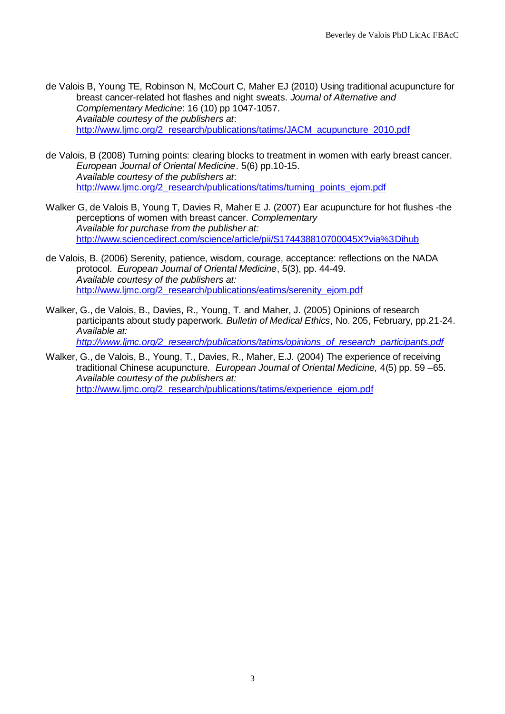de Valois B, Young TE, Robinson N, McCourt C, Maher EJ (2010) Using traditional acupuncture for breast cancer-related hot flashes and night sweats. *Journal of Alternative and Complementary Medicine*: 16 (10) pp 1047-1057. *Available courtesy of the publishers at*: [http://www.ljmc.org/2\\_research/publications/tatims/JACM\\_acupuncture\\_2010.pdf](http://www.ljmc.org/2_research/publications/tatims/JACM_acupuncture_2010.pdf)

- de Valois, B (2008) Turning points: clearing blocks to treatment in women with early breast cancer. *European Journal of Oriental Medicine*. 5(6) pp.10-15. *Available courtesy of the publishers at*: [http://www.ljmc.org/2\\_research/publications/tatims/turning\\_points\\_ejom.pdf](http://www.ljmc.org/2_research/publications/tatims/turning_points_ejom.pdf)
- Walker G, de Valois B, Young T, Davies R, Maher E J. (2007) Ear acupuncture for hot flushes -the perceptions of women with breast cancer. *Complementary Available for purchase from the publisher at:* <http://www.sciencedirect.com/science/article/pii/S174438810700045X?via%3Dihub>
- de Valois, B. (2006) Serenity, patience, wisdom, courage, acceptance: reflections on the NADA protocol. *European Journal of Oriental Medicine*, 5(3), pp. 44-49. *Available courtesy of the publishers at:* http://www.limc.org/2\_research/publications/eatims/serenity\_ejom.pdf
- Walker, G., de Valois, B., Davies, R., Young, T. and Maher, J. (2005) Opinions of research participants about study paperwork. *Bulletin of Medical Ethics*, No. 205, February, pp.21-24. *Available at: [http://www.ljmc.org/2\\_research/publications/tatims/opinions\\_of\\_research\\_participants.pdf](http://www.ljmc.org/2_research/publications/tatims/opinions_of_research_participants.pdf)*

Walker, G., de Valois, B., Young, T., Davies, R., Maher, E.J. (2004) The experience of receiving traditional Chinese acupuncture*. European Journal of Oriental Medicine,* 4(5) pp. 59 –65. *Available courtesy of the publishers at:* http://www.limc.org/2\_research/publications/tatims/experience\_ejom.pdf